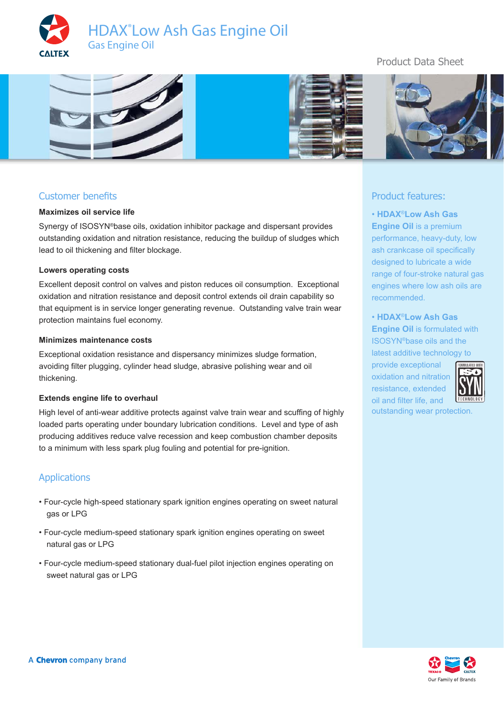





# Customer benefits

#### **Maximizes oil service life**

Synergy of ISOSYN®base oils, oxidation inhibitor package and dispersant provides outstanding oxidation and nitration resistance, reducing the buildup of sludges which lead to oil thickening and filter blockage.

#### **Lowers operating costs**

Excellent deposit control on valves and piston reduces oil consumption. Exceptional oxidation and nitration resistance and deposit control extends oil drain capability so that equipment is in service longer generating revenue. Outstanding valve train wear protection maintains fuel economy.

#### **Minimizes maintenance costs**

Exceptional oxidation resistance and dispersancy minimizes sludge formation, avoiding filter plugging, cylinder head sludge, abrasive polishing wear and oil thickening.

#### **Extends engine life to overhaul**

High level of anti-wear additive protects against valve train wear and scuffing of highly loaded parts operating under boundary lubrication conditions. Level and type of ash producing additives reduce valve recession and keep combustion chamber deposits to a minimum with less spark plug fouling and potential for pre-ignition.

### Applications

- Four-cycle high-speed stationary spark ignition engines operating on sweet natural gas or LPG
- Four-cycle medium-speed stationary spark ignition engines operating on sweet natural gas or LPG
- Four-cycle medium-speed stationary dual-fuel pilot injection engines operating on sweet natural gas or LPG

# Product Data Sheet



## Product features:

• **HDAX**®**Low Ash Gas Engine Oil** is a premium performance, heavy-duty, low ash crankcase oil specifically designed to lubricate a wide range of four-stroke natural gas engines where low ash oils are recommended.

• **HDAX**®**Low Ash Gas Engine Oil** is formulated with ISOSYN®base oils and the latest additive technology to

provide exceptional oxidation and nitration resistance, extended oil and filter life, and



outstanding wear protection.

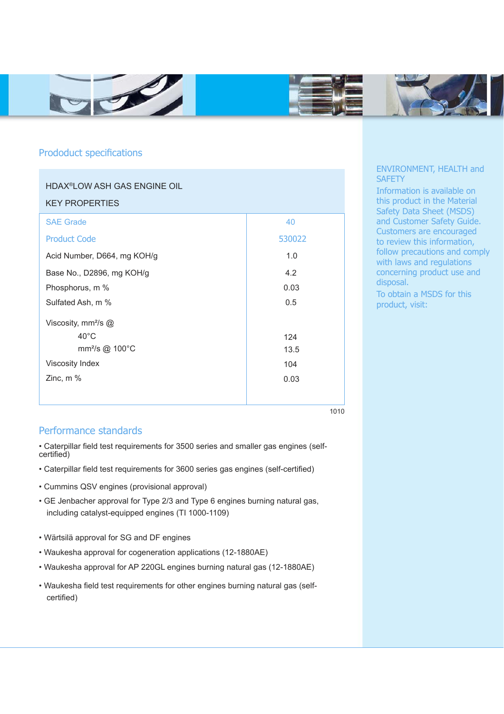





## Prododuct specifications

| <b>HDAX<sup>®</sup>LOW ASH GAS ENGINE OIL</b><br><b>KEY PROPERTIES</b> |        |
|------------------------------------------------------------------------|--------|
| <b>SAE Grade</b>                                                       | 40     |
| <b>Product Code</b>                                                    | 530022 |
| Acid Number, D664, mg KOH/g                                            | 1.0    |
| Base No., D2896, mg KOH/g                                              | 4.2    |
| Phosphorus, m %                                                        | 0.03   |
| Sulfated Ash, m %                                                      | 0.5    |
| Viscosity, mm <sup>2</sup> /s @                                        |        |
| $40^{\circ}$ C                                                         | 124    |
| mm <sup>2</sup> /s @ 100°C                                             | 13.5   |
| Viscosity Index                                                        | 104    |
| Zinc, $m$ %                                                            | 0.03   |
|                                                                        |        |

1010

# Performance standards

• Caterpillar field test requirements for 3500 series and smaller gas engines (selfcertified)

- Caterpillar field test requirements for 3600 series gas engines (self-certified)
- Cummins QSV engines (provisional approval)
- GE Jenbacher approval for Type 2/3 and Type 6 engines burning natural gas, including catalyst-equipped engines (TI 1000-1109)
- Wärtsilä approval for SG and DF engines
- Waukesha approval for cogeneration applications (12-1880AE)
- Waukesha approval for AP 220GL engines burning natural gas (12-1880AE)
- Waukesha field test requirements for other engines burning natural gas (selfcertified)

### ENVIRONMENT, HEALTH and **SAFETY**

Information is available on this product in the Material Safety Data Sheet (MSDS) and Customer Safety Guide. Customers are encouraged to review this information, follow precautions and comply with laws and regulations concerning product use and disposal.

To obtain a MSDS for this product, visit: